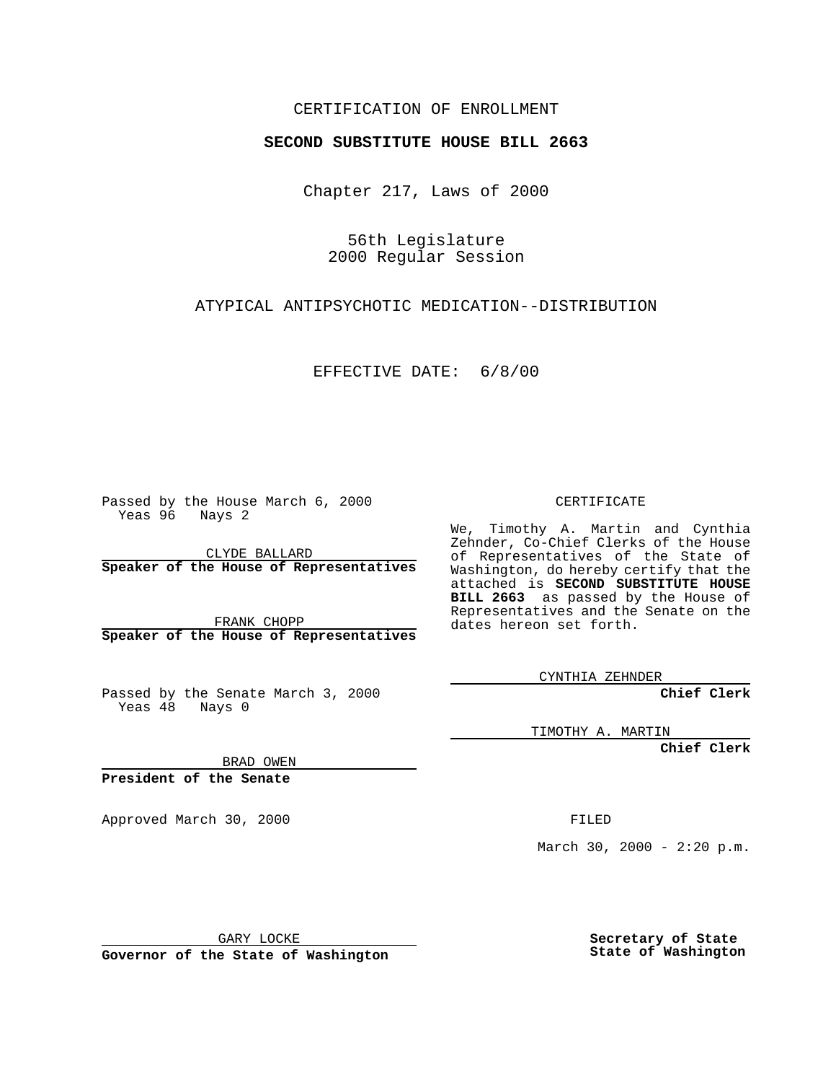## CERTIFICATION OF ENROLLMENT

## **SECOND SUBSTITUTE HOUSE BILL 2663**

Chapter 217, Laws of 2000

56th Legislature 2000 Regular Session

ATYPICAL ANTIPSYCHOTIC MEDICATION--DISTRIBUTION

EFFECTIVE DATE: 6/8/00

Passed by the House March 6, 2000 Yeas 96 Nays 2

CLYDE BALLARD **Speaker of the House of Representatives**

FRANK CHOPP **Speaker of the House of Representatives**

Passed by the Senate March 3, 2000 Yeas  $48$  Nays 0

CERTIFICATE

We, Timothy A. Martin and Cynthia Zehnder, Co-Chief Clerks of the House of Representatives of the State of Washington, do hereby certify that the attached is **SECOND SUBSTITUTE HOUSE BILL 2663** as passed by the House of Representatives and the Senate on the dates hereon set forth.

CYNTHIA ZEHNDER

**Chief Clerk**

TIMOTHY A. MARTIN

**Chief Clerk**

BRAD OWEN

**President of the Senate**

Approved March 30, 2000 FILED

March 30, 2000 -  $2:20 \text{ p.m.}$ 

GARY LOCKE

**Governor of the State of Washington**

**Secretary of State State of Washington**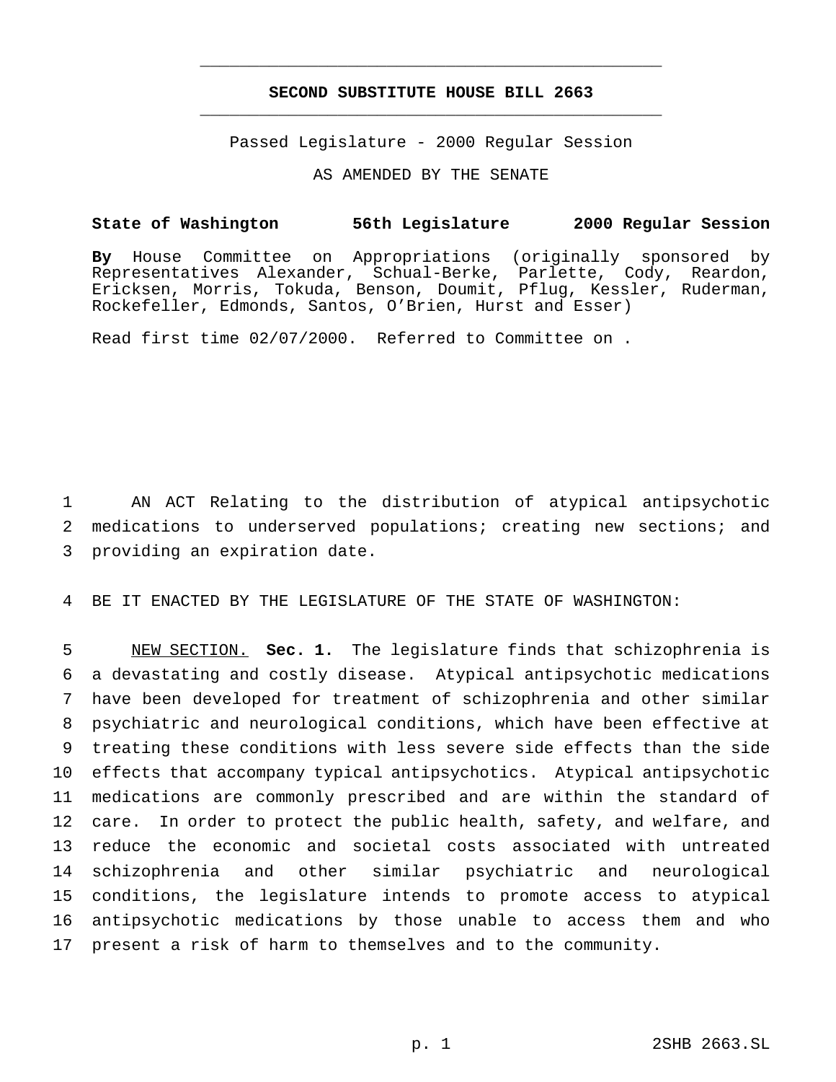## **SECOND SUBSTITUTE HOUSE BILL 2663** \_\_\_\_\_\_\_\_\_\_\_\_\_\_\_\_\_\_\_\_\_\_\_\_\_\_\_\_\_\_\_\_\_\_\_\_\_\_\_\_\_\_\_\_\_\_\_

\_\_\_\_\_\_\_\_\_\_\_\_\_\_\_\_\_\_\_\_\_\_\_\_\_\_\_\_\_\_\_\_\_\_\_\_\_\_\_\_\_\_\_\_\_\_\_

Passed Legislature - 2000 Regular Session

AS AMENDED BY THE SENATE

## **State of Washington 56th Legislature 2000 Regular Session**

**By** House Committee on Appropriations (originally sponsored by Representatives Alexander, Schual-Berke, Parlette, Cody, Reardon, Ericksen, Morris, Tokuda, Benson, Doumit, Pflug, Kessler, Ruderman, Rockefeller, Edmonds, Santos, O'Brien, Hurst and Esser)

Read first time 02/07/2000. Referred to Committee on .

1 AN ACT Relating to the distribution of atypical antipsychotic 2 medications to underserved populations; creating new sections; and 3 providing an expiration date.

4 BE IT ENACTED BY THE LEGISLATURE OF THE STATE OF WASHINGTON:

 NEW SECTION. **Sec. 1.** The legislature finds that schizophrenia is a devastating and costly disease. Atypical antipsychotic medications have been developed for treatment of schizophrenia and other similar psychiatric and neurological conditions, which have been effective at treating these conditions with less severe side effects than the side effects that accompany typical antipsychotics. Atypical antipsychotic medications are commonly prescribed and are within the standard of care. In order to protect the public health, safety, and welfare, and reduce the economic and societal costs associated with untreated schizophrenia and other similar psychiatric and neurological conditions, the legislature intends to promote access to atypical antipsychotic medications by those unable to access them and who present a risk of harm to themselves and to the community.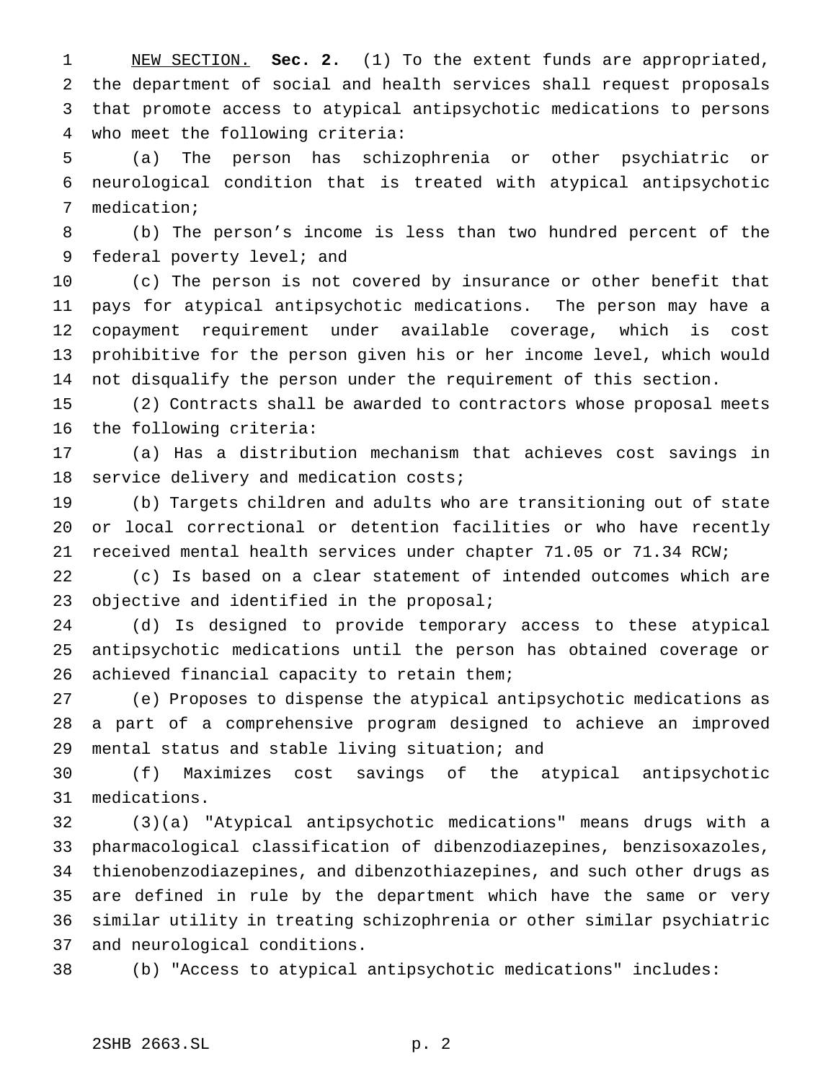NEW SECTION. **Sec. 2.** (1) To the extent funds are appropriated, the department of social and health services shall request proposals that promote access to atypical antipsychotic medications to persons who meet the following criteria:

 (a) The person has schizophrenia or other psychiatric or neurological condition that is treated with atypical antipsychotic medication;

 (b) The person's income is less than two hundred percent of the federal poverty level; and

 (c) The person is not covered by insurance or other benefit that pays for atypical antipsychotic medications. The person may have a copayment requirement under available coverage, which is cost prohibitive for the person given his or her income level, which would not disqualify the person under the requirement of this section.

 (2) Contracts shall be awarded to contractors whose proposal meets the following criteria:

 (a) Has a distribution mechanism that achieves cost savings in 18 service delivery and medication costs;

 (b) Targets children and adults who are transitioning out of state or local correctional or detention facilities or who have recently received mental health services under chapter 71.05 or 71.34 RCW;

 (c) Is based on a clear statement of intended outcomes which are 23 objective and identified in the proposal;

 (d) Is designed to provide temporary access to these atypical antipsychotic medications until the person has obtained coverage or achieved financial capacity to retain them;

 (e) Proposes to dispense the atypical antipsychotic medications as a part of a comprehensive program designed to achieve an improved mental status and stable living situation; and

 (f) Maximizes cost savings of the atypical antipsychotic medications.

 (3)(a) "Atypical antipsychotic medications" means drugs with a pharmacological classification of dibenzodiazepines, benzisoxazoles, thienobenzodiazepines, and dibenzothiazepines, and such other drugs as are defined in rule by the department which have the same or very similar utility in treating schizophrenia or other similar psychiatric and neurological conditions.

(b) "Access to atypical antipsychotic medications" includes: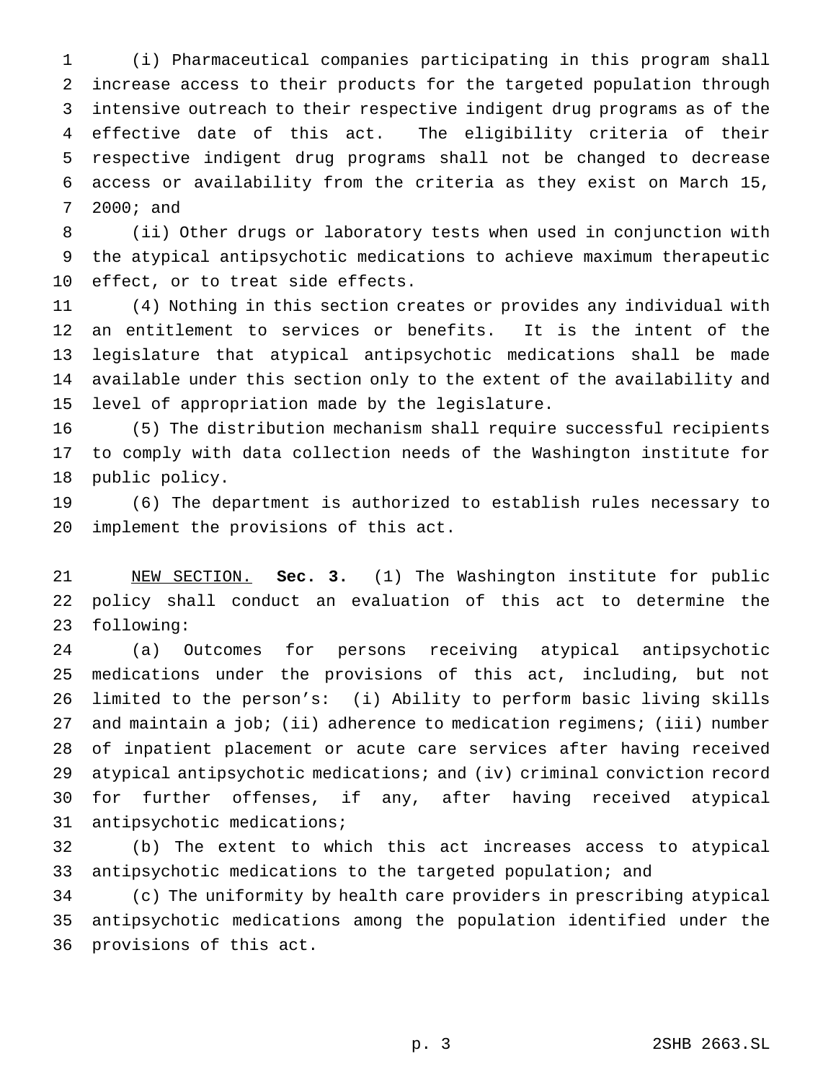(i) Pharmaceutical companies participating in this program shall increase access to their products for the targeted population through intensive outreach to their respective indigent drug programs as of the effective date of this act. The eligibility criteria of their respective indigent drug programs shall not be changed to decrease access or availability from the criteria as they exist on March 15, 2000; and

 (ii) Other drugs or laboratory tests when used in conjunction with the atypical antipsychotic medications to achieve maximum therapeutic effect, or to treat side effects.

 (4) Nothing in this section creates or provides any individual with an entitlement to services or benefits. It is the intent of the legislature that atypical antipsychotic medications shall be made available under this section only to the extent of the availability and level of appropriation made by the legislature.

 (5) The distribution mechanism shall require successful recipients to comply with data collection needs of the Washington institute for public policy.

 (6) The department is authorized to establish rules necessary to implement the provisions of this act.

 NEW SECTION. **Sec. 3.** (1) The Washington institute for public policy shall conduct an evaluation of this act to determine the following:

 (a) Outcomes for persons receiving atypical antipsychotic medications under the provisions of this act, including, but not limited to the person's: (i) Ability to perform basic living skills 27 and maintain a job; (ii) adherence to medication regimens; (iii) number of inpatient placement or acute care services after having received atypical antipsychotic medications; and (iv) criminal conviction record for further offenses, if any, after having received atypical antipsychotic medications;

 (b) The extent to which this act increases access to atypical antipsychotic medications to the targeted population; and

 (c) The uniformity by health care providers in prescribing atypical antipsychotic medications among the population identified under the provisions of this act.